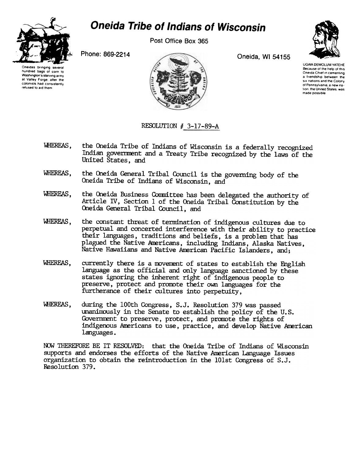

## **Oneida Tribe of Indians of Wisconsin**

Post Office Box 365

Phone: 869-2214



Oneida, WI 54155



**UGWA DEMOLUM YATEHE** Because of the help of this Oneida Chief in cementing a triendship between the six nations and the Colony of Pennsylvania a new nation, the United States, was made possible.

## RESOLUTION # 3-17-89-A

- WHEREAS, the Oneida Tribe of Indians of Wisconsin is a federally recognized Indian government and a Treaty Tribe recognized by the laws of the United States, and
- the Oneida General Tribal Council is the governing body of the WHEREAS. Oneida Tribe of Indians of Wisconsin, and
- WHEREAS. the Oneida Business Committee has been delegated the authority of Article IV, Section 1 of the Oneida Tribal Constitution by the Oneida General Tribal Council, and
- WHEREAS, the constant threat of termination of indigenous cultures due to perpetual and concerted interference with their ability to practice their languages, traditions and beliefs, is a problem that has plagued the Native Americans, including Indians, Alaska Natives, Native Hawaiians and Native American Pacific Islanders, and;
- WHEREAS. currently there is a movement of states to establish the English language as the official and only language sanctioned by these states ignoring the inherent right of indigenous people to preserve, protect and promote their own languages for the furtherance of their cultures into perpetuity,
- WHEREAS. during the 100th Congress, S.J. Resolution 379 was passed unanimously in the Senate to establish the policy of the U.S. Government to preserve, protect, and promote the rights of indigenous Americans to use, practice, and develop Native American languages.

NOW THEREFORE BE IT RESOLVED: that the Oneida Tribe of Indians of Wisconsin supports and endorses the efforts of the Native American Language Issues organization to obtain the reintroduction in the 101st Congress of S.J. Resolution 379.